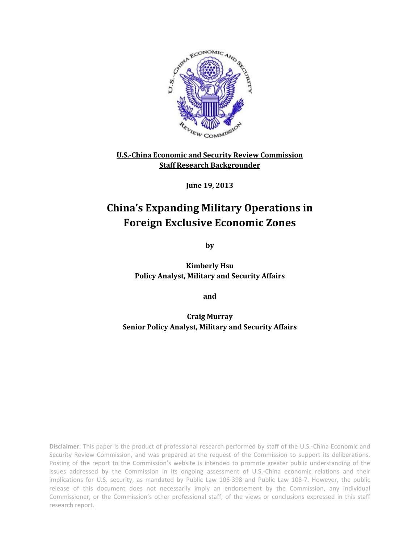

### **U.S.-China Economic and Security Review Commission Staff Research Backgrounder**

**June 19, 2013**

## **China's Expanding Military Operations in Foreign Exclusive Economic Zones**

**by**

**Kimberly Hsu Policy Analyst, Military and Security Affairs**

**and**

**Craig Murray Senior Policy Analyst, Military and Security Affairs**

**Disclaimer**: This paper is the product of professional research performed by staff of the U.S.-China Economic and Security Review Commission, and was prepared at the request of the Commission to support its deliberations. Posting of the report to the Commission's website is intended to promote greater public understanding of the issues addressed by the Commission in its ongoing assessment of U.S.-China economic relations and their implications for U.S. security, as mandated by Public Law 106-398 and Public Law 108-7. However, the public release of this document does not necessarily imply an endorsement by the Commission, any individual Commissioner, or the Commission's other professional staff, of the views or conclusions expressed in this staff research report.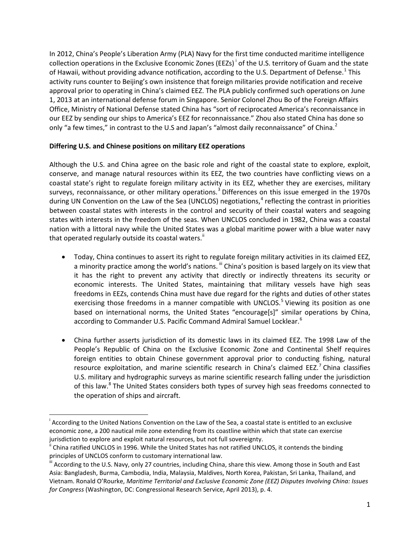In 2012, China's People's Liberation Army (PLA) Navy for the first time conducted maritime intelligence collect[i](#page-1-0)on operations in the Exclusive Economic Zones (EEZs)<sup>1</sup> of the U.S. territory of Guam and the state of Hawaii, without providing advance notification, according to the U.S. Department of Defense.<sup>[1](#page-5-0)</sup> This activity runs counter to Beijing's own insistence that foreign militaries provide notification and receive approval prior to operating in China's claimed EEZ. The PLA publicly confirmed such operations on June 1, 2013 at an international defense forum in Singapore. Senior Colonel Zhou Bo of the Foreign Affairs Office, Ministry of National Defense stated China has "sort of reciprocated America's reconnaissance in our EEZ by sending our ships to America's EEZ for reconnaissance." Zhou also stated China has done so only "a few times," in contrast to the U.S and Japan's "almost daily reconnaissance" of China.<sup>[2](#page-5-1)</sup>

#### **Differing U.S. and Chinese positions on military EEZ operations**

Although the U.S. and China agree on the basic role and right of the coastal state to explore, exploit, conserve, and manage natural resources within its EEZ, the two countries have conflicting views on a coastal state's right to regulate foreign military activity in its EEZ, whether they are exercises, military surveys, reconnaissance, or other military operations.<sup>[3](#page-5-2)</sup> Differences on this issue emerged in the 1970s during UN Convention on the Law of the Sea (UNCLOS) negotiations,<sup>[4](#page-5-3)</sup> reflecting the contrast in priorities between coastal states with interests in the control and security of their coastal waters and seagoing states with interests in the freedom of the seas. When UNCLOS concluded in 1982, China was a coastal nation with a littoral navy while the United States was a global maritime power with a blue water navy that operated regularly outside its coastal waters.<sup>"</sup>

- Today, China continues to assert its right to regulate foreign military activities in its claimed EEZ, a minority practice among the world's nations. "I China's position is based largely on its view that it has the right to prevent any activity that directly or indirectly threatens its security or economic interests. The United States, maintaining that military vessels have high seas freedoms in EEZs, contends China must have due regard for the rights and duties of other states exercising those freedoms in a manner compatible with UNCLOS.<sup>[5](#page-5-4)</sup> Viewing its position as one based on international norms, the United States "encourage[s]" similar operations by China, according to Commander U.S. Pacific Command Admiral Samuel Locklear.<sup>[6](#page-5-5)</sup>
- China further asserts jurisdiction of its domestic laws in its claimed EEZ. The 1998 Law of the People's Republic of China on the Exclusive Economic Zone and Continental Shelf requires foreign entities to obtain Chinese government approval prior to conducting fishing, natural resource exploitation, and marine scientific research in China's claimed EEZ.<sup>[7](#page-5-6)</sup> China classifies U.S. military and hydrographic surveys as marine scientific research falling under the jurisdiction of this law.<sup>[8](#page-5-7)</sup> The United States considers both types of survey high seas freedoms connected to the operation of ships and aircraft.

<span id="page-1-0"></span>i <sup>1</sup> According to the United Nations Convention on the Law of the Sea, a coastal state is entitled to an exclusive economic zone, a 200 nautical mile zone extending from its coastline within which that state can exercise jurisdiction to explore and exploit natural resources, but not full sovereignty.

<span id="page-1-1"></span>China ratified UNCLOS in 1996. While the United States has not ratified UNCLOS, it contends the binding principles of UNCLOS conform to customary international law.<br>iii According to the U.S. Navy, only 27 countries, including China, share this view. Among those in South and East

<span id="page-1-2"></span>Asia: Bangladesh, Burma, Cambodia, India, Malaysia, Maldives, North Korea, Pakistan, Sri Lanka, Thailand, and Vietnam. Ronald O'Rourke, *Maritime Territorial and Exclusive Economic Zone (EEZ) Disputes Involving China: Issues for Congress* (Washington, DC: Congressional Research Service, April 2013), p. 4.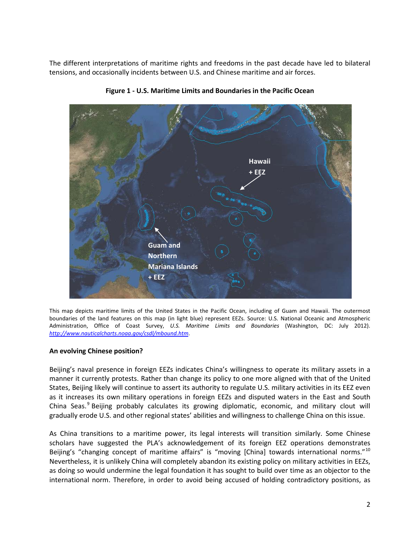The different interpretations of maritime rights and freedoms in the past decade have led to bilateral tensions, and occasionally incidents between U.S. and Chinese maritime and air forces.



**Figure 1 - U.S. Maritime Limits and Boundaries in the Pacific Ocean**

This map depicts maritime limits of the United States in the Pacific Ocean, including of Guam and Hawaii. The outermost boundaries of the land features on this map (in light blue) represent EEZs. Source: U.S. National Oceanic and Atmospheric Administration, Office of Coast Survey, *U.S. Maritime Limits and Boundaries* (Washington, DC: July 2012). *<http://www.nauticalcharts.noaa.gov/csdl/mbound.htm>*.

#### **An evolving Chinese position?**

Beijing's naval presence in foreign EEZs indicates China's willingness to operate its military assets in a manner it currently protests. Rather than change its policy to one more aligned with that of the United States, Beijing likely will continue to assert its authority to regulate U.S. military activities in its EEZ even as it increases its own military operations in foreign EEZs and disputed waters in the East and South China Seas.<sup>[9](#page-5-8)</sup> Beijing probably calculates its growing diplomatic, economic, and military clout will gradually erode U.S. and other regional states' abilities and willingness to challenge China on this issue.

As China transitions to a maritime power, its legal interests will transition similarly. Some Chinese scholars have suggested the PLA's acknowledgement of its foreign EEZ operations demonstrates Beijing's "changing concept of maritime affairs" is "moving [China] towards international norms."<sup>[10](#page-5-9)</sup> Nevertheless, it is unlikely China will completely abandon its existing policy on military activities in EEZs, as doing so would undermine the legal foundation it has sought to build over time as an objector to the international norm. Therefore, in order to avoid being accused of holding contradictory positions, as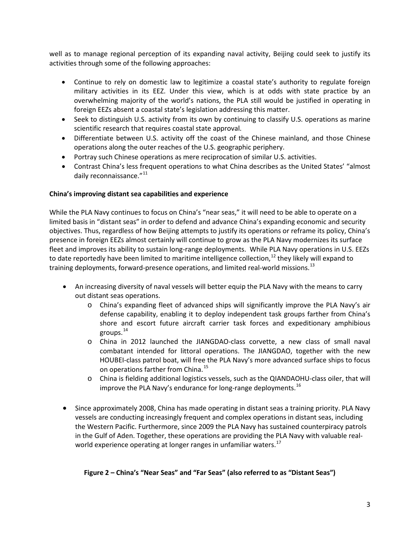well as to manage regional perception of its expanding naval activity, Beijing could seek to justify its activities through some of the following approaches:

- Continue to rely on domestic law to legitimize a coastal state's authority to regulate foreign military activities in its EEZ. Under this view, which is at odds with state practice by an overwhelming majority of the world's nations, the PLA still would be justified in operating in foreign EEZs absent a coastal state's legislation addressing this matter.
- Seek to distinguish U.S. activity from its own by continuing to classify U.S. operations as marine scientific research that requires coastal state approval.
- Differentiate between U.S. activity off the coast of the Chinese mainland, and those Chinese operations along the outer reaches of the U.S. geographic periphery.
- Portray such Chinese operations as mere reciprocation of similar U.S. activities.
- Contrast China's less frequent operations to what China describes as the United States' "almost daily reconnaissance."<sup>[11](#page-5-10)</sup>

#### **China's improving distant sea capabilities and experience**

While the PLA Navy continues to focus on China's "near seas," it will need to be able to operate on a limited basis in "distant seas" in order to defend and advance China's expanding economic and security objectives. Thus, regardless of how Beijing attempts to justify its operations or reframe its policy, China's presence in foreign EEZs almost certainly will continue to grow as the PLA Navy modernizes its surface fleet and improves its ability to sustain long-range deployments. While PLA Navy operations in U.S. EEZs to date reportedly have been limited to maritime intelligence collection,<sup>[12](#page-6-0)</sup> they likely will expand to training deployments, forward-presence operations, and limited real-world missions.<sup>[13](#page-6-1)</sup>

- An increasing diversity of naval vessels will better equip the PLA Navy with the means to carry out distant seas operations.
	- o China's expanding fleet of advanced ships will significantly improve the PLA Navy's air defense capability, enabling it to deploy independent task groups farther from China's shore and escort future aircraft carrier task forces and expeditionary amphibious groups.[14](#page-6-2)
	- o China in 2012 launched the JIANGDAO-class corvette, a new class of small naval combatant intended for littoral operations. The JIANGDAO, together with the new HOUBEI-class patrol boat, will free the PLA Navy's more advanced surface ships to focus on operations farther from China.<sup>[15](#page-6-3)</sup>
	- o China is fielding additional logistics vessels, such as the QIANDAOHU-class oiler, that will improve the PLA Navy's endurance for long-range deployments. <sup>[16](#page-6-4)</sup>
- Since approximately 2008, China has made operating in distant seas a training priority. PLA Navy vessels are conducting increasingly frequent and complex operations in distant seas, including the Western Pacific. Furthermore, since 2009 the PLA Navy has sustained counterpiracy patrols in the Gulf of Aden. Together, these operations are providing the PLA Navy with valuable real-world experience operating at longer ranges in unfamiliar waters.<sup>[17](#page-6-5)</sup>

#### **Figure 2 – China's "Near Seas" and "Far Seas" (also referred to as "Distant Seas")**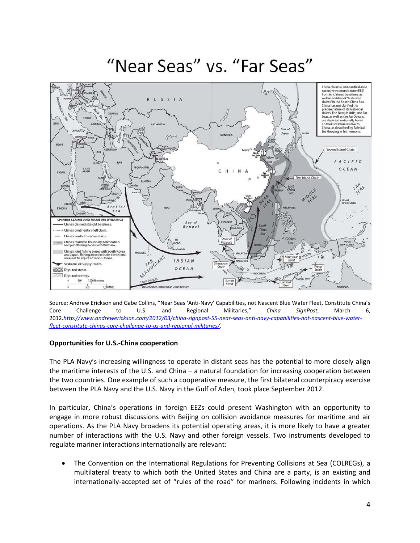# "Near Seas" vs. "Far Seas"



Source: Andrew Erickson and Gabe Collins, "Near Seas 'Anti-Navy' Capabilities, not Nascent Blue Water Fleet, Constitute China's Core Challenge to U.S. and Regional Militaries," *China SignPost*, March 6, 2012.*[http://www.andrewerickson.com/2012/03/china-signpost-55-near-seas-anti-navy-capabilities-not-nascent-blue-water](http://www.andrewerickson.com/2012/03/china-signpost-55-near-seas-anti-navy-capabilities-not-nascent-blue-water-fleet-constitute-chinas-core-challenge-to-us-and-regional-militaries/)[fleet-constitute-chinas-core-challenge-to-us-and-regional-militaries/.](http://www.andrewerickson.com/2012/03/china-signpost-55-near-seas-anti-navy-capabilities-not-nascent-blue-water-fleet-constitute-chinas-core-challenge-to-us-and-regional-militaries/)*

#### **Opportunities for U.S.-China cooperation**

The PLA Navy's increasing willingness to operate in distant seas has the potential to more closely align the maritime interests of the U.S. and China – a natural foundation for increasing cooperation between the two countries. One example of such a cooperative measure, the first bilateral counterpiracy exercise between the PLA Navy and the U.S. Navy in the Gulf of Aden, took place September 2012.

In particular, China's operations in foreign EEZs could present Washington with an opportunity to engage in more robust discussions with Beijing on collision avoidance measures for maritime and air operations. As the PLA Navy broadens its potential operating areas, it is more likely to have a greater number of interactions with the U.S. Navy and other foreign vessels. Two instruments developed to regulate mariner interactions internationally are relevant:

• The Convention on the International Regulations for Preventing Collisions at Sea (COLREGs), a multilateral treaty to which both the United States and China are a party, is an existing and internationally-accepted set of "rules of the road" for mariners. Following incidents in which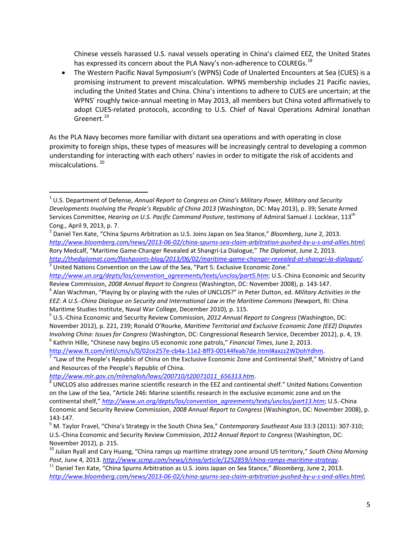Chinese vessels harassed U.S. naval vessels operating in China's claimed EEZ, the United States has expressed its concern about the PLA Navy's non-adherence to COLREGs.<sup>[18](#page-6-6)</sup>

• The Western Pacific Naval Symposium's (WPNS) Code of Unalerted Encounters at Sea (CUES) is a promising instrument to prevent miscalculation. WPNS membership includes 21 Pacific navies, including the United States and China. China's intentions to adhere to CUES are uncertain; at the WPNS' roughly twice-annual meeting in May 2013, all members but China voted affirmatively to adopt CUES-related protocols, according to U.S. Chief of Naval Operations Admiral Jonathan Greenert. [19](#page-6-7)

As the PLA Navy becomes more familiar with distant sea operations and with operating in close proximity to foreign ships, these types of measures will be increasingly central to developing a common understanding for interacting with each others' navies in order to mitigate the risk of accidents and miscalculations. [20](#page-6-8)

<span id="page-5-1"></span><sup>2</sup> Daniel Ten Kate, "China Spurns Arbitration as U.S. Joins Japan on Sea Stance," *Bloomberg*, June 2, 2013. *<http://www.bloomberg.com/news/2013-06-02/china-spurns-sea-claim-arbitration-pushed-by-u-s-and-allies.html>*; Rory Medcalf, "Maritime Game-Changer Revealed at Shangri-La Dialogue," *The Diplomat*, June 2, 2013.

<span id="page-5-6"></span><span id="page-5-5"></span>http://www.ft.com/intl/cms/s/0/02ce257e-cb4a-11e2-8ff3-00144feab7de.html#axzz2WDohYdhm.<br><sup>7</sup> "Law of the People's Republic of China on the Exclusive Economic Zone and Continental Shelf," Ministry of Land and Resources of the People's Republic of China.

<span id="page-5-0"></span> <sup>1</sup> U.S. Department of Defense, *Annual Report to Congress on China's Military Power, Military and Security Developments Involving the People's Republic of China 2013* (Washington, DC: May 2013), p. 39; Senate Armed Services Committee, *Hearing on U.S. Pacific Command Posture*, testimony of Admiral Samuel J. Locklear, 113th Cong., April 9, 2013, p. 7.

<span id="page-5-2"></span>*<http://thediplomat.com/flashpoints-blog/2013/06/02/maritime-game-changer-revealed-at-shangri-la-dialogue/>*. <sup>3</sup> United Nations Convention on the Law of the Sea, "Part 5: Exclusive Economic Zone." *[http://www.un.org/depts/los/convention\\_agreements/texts/unclos/part5.htm](http://www.un.org/depts/los/convention_agreements/texts/unclos/part5.htm)*; U.S.-China Economic and Security

<span id="page-5-3"></span>Review Commission, 2008 Annual Report to Congress (Washington, DC: November 2008), p. 143-147.<br><sup>4</sup> Alan Wachman, "Playing by or playing with the rules of UNCLOS?" in Peter Dutton, ed. Military Activities in the *EEZ: A U.S.-China Dialogue on Security and International Law in the Maritime Commons* (Newport, RI: China Maritime Studies Institute, Naval War College, December 2010), p. 115.

<span id="page-5-4"></span><sup>5</sup> U.S.-China Economic and Security Review Commission, *2012 Annual Report to Congress* (Washington, DC: November 2012), p. 221, 239; Ronald O'Rourke, *Maritime Territorial and Exclusive Economic Zone (EEZ) Disputes Involving China: Issues for Congress* (Washington, DC: Congressional Research Service, December 2012), p. 4, 19. <sup>6</sup> Kathrin Hille, "Chinese navy begins US economic zone patrols," *Financial Times*, June 2, 2013.

<span id="page-5-7"></span>*[http://www.mlr.gov.cn/mlrenglish/laws/200710/t20071011\\_656313.htm](http://www.mlr.gov.cn/mlrenglish/laws/200710/t20071011_656313.htm)*. <sup>8</sup> UNCLOS also addresses marine scientific research in the EEZ and continental shelf." United Nations Convention on the Law of the Sea, "Article 246: Marine scientific research in the exclusive economic zone and on the continental shelf," *[http://www.un.org/depts/los/convention\\_agreements/texts/unclos/part13.htm](http://www.un.org/depts/los/convention_agreements/texts/unclos/part13.htm)*; U.S.-China Economic and Security Review Commission, *2008 Annual Report to Congress* (Washington, DC: November 2008), p. 143-147.

<span id="page-5-8"></span><sup>9</sup> M. Taylor Fravel, "China's Strategy in the South China Sea," *Contemporary Southeast Asia* 33:3 (2011): 307-310; U.S.-China Economic and Security Review Commission, *2012 Annual Report to Congress* (Washington, DC: November 2012), p. 215.

<span id="page-5-9"></span><sup>10</sup> Julian Ryall and Cary Huang, "China ramps up maritime strategy zone around US territory," *South China Morning Post*, June 4, 2013. *<http://www.scmp.com/news/china/article/1252859/china-ramps-maritime-strategy>*.

<span id="page-5-10"></span><sup>11</sup> Daniel Ten Kate, "China Spurns Arbitration as U.S. Joins Japan on Sea Stance," *Bloomberg*, June 2, 2013. *<http://www.bloomberg.com/news/2013-06-02/china-spurns-sea-claim-arbitration-pushed-by-u-s-and-allies.html>*;